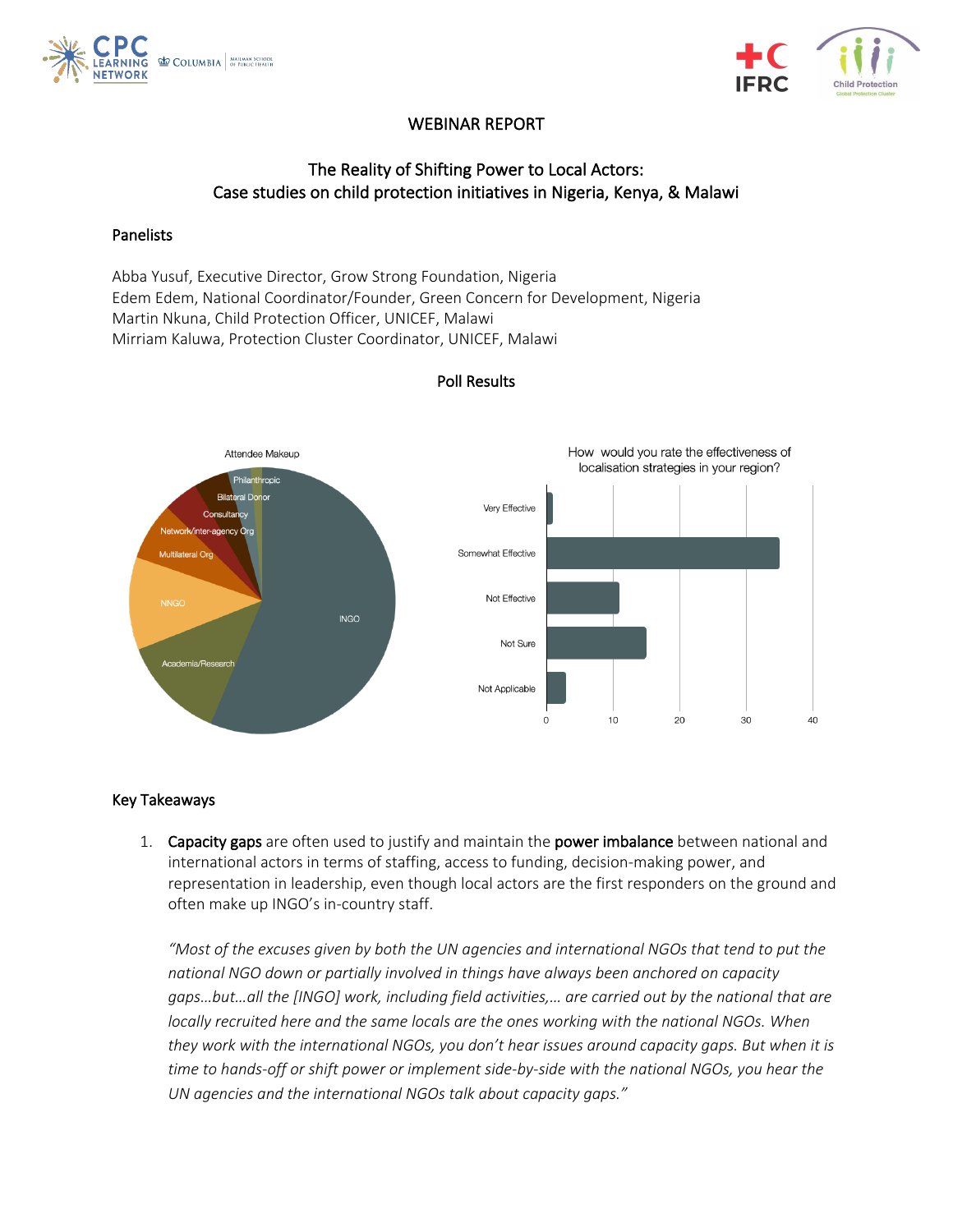



## WEBINAR REPORT

# The Reality of Shifting Power to Local Actors: Case studies on child protection initiatives in Nigeria, Kenya, & Malawi

#### Panelists

Abba Yusuf, Executive Director, Grow Strong Foundation, Nigeria Edem Edem, National Coordinator/Founder, Green Concern for Development, Nigeria Martin Nkuna, Child Protection Officer, UNICEF, Malawi Mirriam Kaluwa, Protection Cluster Coordinator, UNICEF, Malawi



### Poll Results

### Key Takeaways

1. Capacity gaps are often used to justify and maintain the power imbalance between national and international actors in terms of staffing, access to funding, decision-making power, and representation in leadership, even though local actors are the first responders on the ground and often make up INGO's in-country staff.

*"Most of the excuses given by both the UN agencies and international NGOs that tend to put the national NGO down or partially involved in things have always been anchored on capacity gaps…but…all the [INGO] work, including field activities,… are carried out by the national that are locally recruited here and the same locals are the ones working with the national NGOs. When they work with the international NGOs, you don't hear issues around capacity gaps. But when it is time to hands-off or shift power or implement side-by-side with the national NGOs, you hear the UN agencies and the international NGOs talk about capacity gaps."*